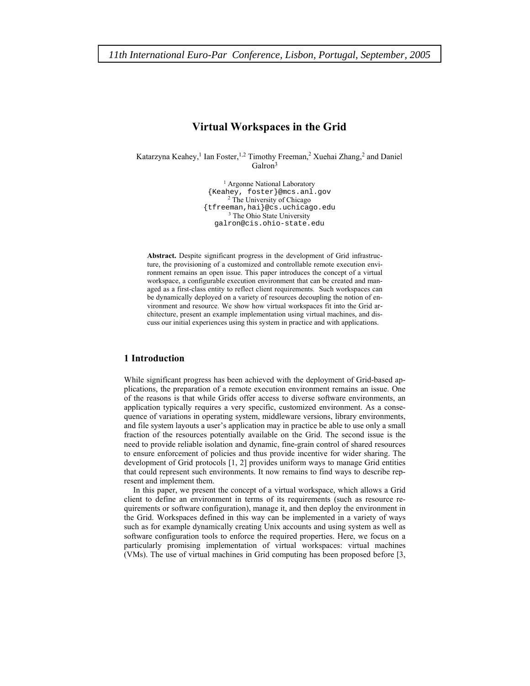*11th International Euro-Par Conference, Lisbon, Portugal, September, 2005*

# **Virtual Workspaces in the Grid**

Katarzyna Keahey,<sup>1</sup> Ian Foster,<sup>1,2</sup> Timothy Freeman,<sup>2</sup> Xuehai Zhang,<sup>2</sup> and Daniel Galron3

> <sup>1</sup> Argonne National Laboratory {Keahey, foster}@mcs.anl.gov 2 The University of Chicago {tfreeman,hai}@cs.uchicago.edu <sup>3</sup> The Ohio State University galron@cis.ohio-state.edu

**Abstract.** Despite significant progress in the development of Grid infrastructure, the provisioning of a customized and controllable remote execution environment remains an open issue. This paper introduces the concept of a virtual workspace, a configurable execution environment that can be created and managed as a first-class entity to reflect client requirements. Such workspaces can be dynamically deployed on a variety of resources decoupling the notion of environment and resource. We show how virtual workspaces fit into the Grid architecture, present an example implementation using virtual machines, and discuss our initial experiences using this system in practice and with applications.

### **1 Introduction**

While significant progress has been achieved with the deployment of Grid-based applications, the preparation of a remote execution environment remains an issue. One of the reasons is that while Grids offer access to diverse software environments, an application typically requires a very specific, customized environment. As a consequence of variations in operating system, middleware versions, library environments, and file system layouts a user's application may in practice be able to use only a small fraction of the resources potentially available on the Grid. The second issue is the need to provide reliable isolation and dynamic, fine-grain control of shared resources to ensure enforcement of policies and thus provide incentive for wider sharing. The development of Grid protocols [1, 2] provides uniform ways to manage Grid entities that could represent such environments. It now remains to find ways to describe represent and implement them.

In this paper, we present the concept of a virtual workspace, which allows a Grid client to define an environment in terms of its requirements (such as resource requirements or software configuration), manage it, and then deploy the environment in the Grid. Workspaces defined in this way can be implemented in a variety of ways such as for example dynamically creating Unix accounts and using system as well as software configuration tools to enforce the required properties. Here, we focus on a particularly promising implementation of virtual workspaces: virtual machines (VMs). The use of virtual machines in Grid computing has been proposed before [3,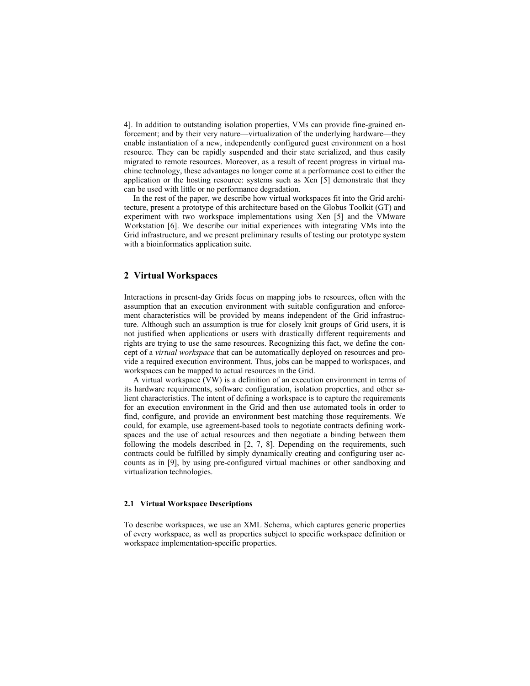4]. In addition to outstanding isolation properties, VMs can provide fine-grained enforcement; and by their very nature—virtualization of the underlying hardware—they enable instantiation of a new, independently configured guest environment on a host resource. They can be rapidly suspended and their state serialized, and thus easily migrated to remote resources. Moreover, as a result of recent progress in virtual machine technology, these advantages no longer come at a performance cost to either the application or the hosting resource: systems such as Xen [5] demonstrate that they can be used with little or no performance degradation.

In the rest of the paper, we describe how virtual workspaces fit into the Grid architecture, present a prototype of this architecture based on the Globus Toolkit (GT) and experiment with two workspace implementations using Xen [5] and the VMware Workstation [6]. We describe our initial experiences with integrating VMs into the Grid infrastructure, and we present preliminary results of testing our prototype system with a bioinformatics application suite.

# **2 Virtual Workspaces**

Interactions in present-day Grids focus on mapping jobs to resources, often with the assumption that an execution environment with suitable configuration and enforcement characteristics will be provided by means independent of the Grid infrastructure. Although such an assumption is true for closely knit groups of Grid users, it is not justified when applications or users with drastically different requirements and rights are trying to use the same resources. Recognizing this fact, we define the concept of a *virtual workspace* that can be automatically deployed on resources and provide a required execution environment. Thus, jobs can be mapped to workspaces, and workspaces can be mapped to actual resources in the Grid.

A virtual workspace (VW) is a definition of an execution environment in terms of its hardware requirements, software configuration, isolation properties, and other salient characteristics. The intent of defining a workspace is to capture the requirements for an execution environment in the Grid and then use automated tools in order to find, configure, and provide an environment best matching those requirements. We could, for example, use agreement-based tools to negotiate contracts defining workspaces and the use of actual resources and then negotiate a binding between them following the models described in [2, 7, 8]. Depending on the requirements, such contracts could be fulfilled by simply dynamically creating and configuring user accounts as in [9], by using pre-configured virtual machines or other sandboxing and virtualization technologies.

### **2.1 Virtual Workspace Descriptions**

To describe workspaces, we use an XML Schema, which captures generic properties of every workspace, as well as properties subject to specific workspace definition or workspace implementation-specific properties.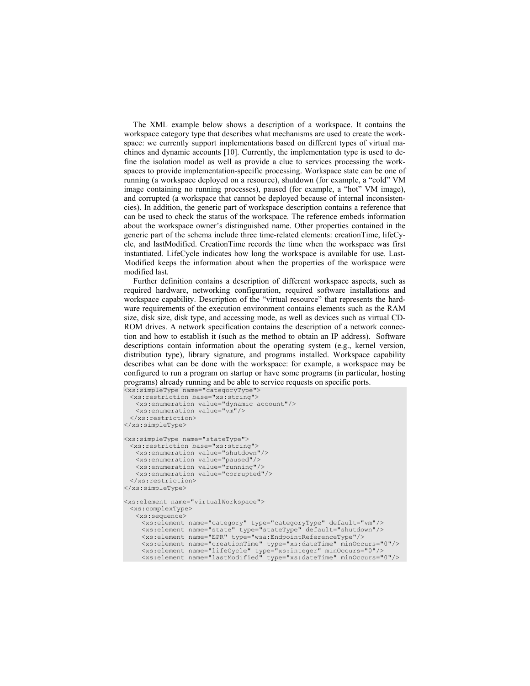The XML example below shows a description of a workspace. It contains the workspace category type that describes what mechanisms are used to create the workspace: we currently support implementations based on different types of virtual machines and dynamic accounts [10]. Currently, the implementation type is used to define the isolation model as well as provide a clue to services processing the workspaces to provide implementation-specific processing. Workspace state can be one of running (a workspace deployed on a resource), shutdown (for example, a "cold" VM image containing no running processes), paused (for example, a "hot" VM image), and corrupted (a workspace that cannot be deployed because of internal inconsistencies). In addition, the generic part of workspace description contains a reference that can be used to check the status of the workspace. The reference embeds information about the workspace owner's distinguished name. Other properties contained in the generic part of the schema include three time-related elements: creationTime, lifeCycle, and lastModified. CreationTime records the time when the workspace was first instantiated. LifeCycle indicates how long the workspace is available for use. Last-Modified keeps the information about when the properties of the workspace were modified last.

Further definition contains a description of different workspace aspects, such as required hardware, networking configuration, required software installations and workspace capability. Description of the "virtual resource" that represents the hardware requirements of the execution environment contains elements such as the RAM size, disk size, disk type, and accessing mode, as well as devices such as virtual CD-ROM drives. A network specification contains the description of a network connection and how to establish it (such as the method to obtain an IP address). Software descriptions contain information about the operating system (e.g., kernel version, distribution type), library signature, and programs installed. Workspace capability describes what can be done with the workspace: for example, a workspace may be configured to run a program on startup or have some programs (in particular, hosting programs) already running and be able to service requests on specific ports.

```
<xs:simpleType name="categoryType"> 
 <xs:restriction base="xs:string"> 
    <xs:enumeration value="dynamic account"/> 
    <xs:enumeration value="vm"/> 
  </xs:restriction> 
</xs:simpleType> 
<xs:simpleType name="stateType"> 
  <xs:restriction base="xs:string"> 
    <xs:enumeration value="shutdown"/> 
    <xs:enumeration value="paused"/> 
    <xs:enumeration value="running"/> 
    <xs:enumeration value="corrupted"/> 
  </xs:restriction> 
</xs:simpleType> 
<xs:element name="virtualWorkspace"> 
  <xs:complexType> 
    <xs:sequence> 
     <xs:element name="category" type="categoryType" default="vm"/> 
 <xs:element name="state" type="stateType" default="shutdown"/> 
 <xs:element name="EPR" type="wsa:EndpointReferenceType"/> 
     <xs:element name="creationTime" type="xs:dateTime" minOccurs="0"/> 
     <xs:element name="lifeCycle" type="xs:integer" minOccurs="0"/> 
     <xs:element name="lastModified" type="xs:dateTime" minOccurs="0"/>
```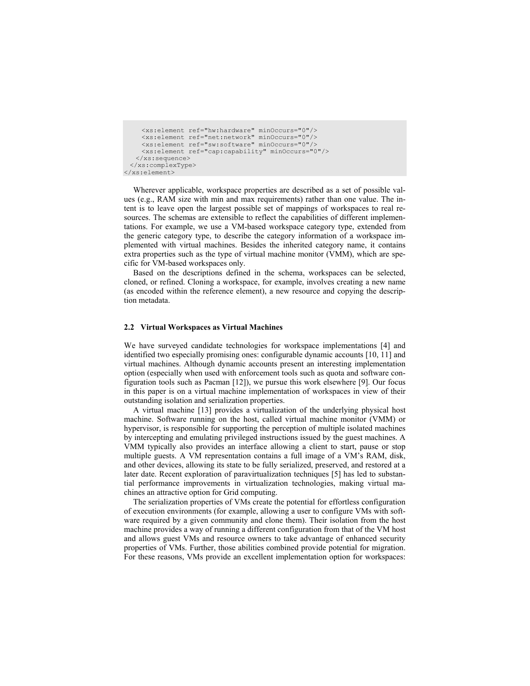```
 <xs:element ref="hw:hardware" minOccurs="0"/> 
      <xs:element ref="net:network" minOccurs="0"/> 
     <xs:element ref="sw:software" minOccurs="0"/> 
      <xs:element ref="cap:capability" minOccurs="0"/> 
    </xs:sequence> 
  </xs:complexType> 
</xs:element>
```
Wherever applicable, workspace properties are described as a set of possible values (e.g., RAM size with min and max requirements) rather than one value. The intent is to leave open the largest possible set of mappings of workspaces to real resources. The schemas are extensible to reflect the capabilities of different implementations. For example, we use a VM-based workspace category type, extended from the generic category type, to describe the category information of a workspace implemented with virtual machines. Besides the inherited category name, it contains extra properties such as the type of virtual machine monitor (VMM), which are specific for VM-based workspaces only.

Based on the descriptions defined in the schema, workspaces can be selected, cloned, or refined. Cloning a workspace, for example, involves creating a new name (as encoded within the reference element), a new resource and copying the description metadata.

### **2.2 Virtual Workspaces as Virtual Machines**

We have surveyed candidate technologies for workspace implementations [4] and identified two especially promising ones: configurable dynamic accounts [10, 11] and virtual machines. Although dynamic accounts present an interesting implementation option (especially when used with enforcement tools such as quota and software configuration tools such as Pacman [12]), we pursue this work elsewhere [9]. Our focus in this paper is on a virtual machine implementation of workspaces in view of their outstanding isolation and serialization properties.

A virtual machine [13] provides a virtualization of the underlying physical host machine. Software running on the host, called virtual machine monitor (VMM) or hypervisor, is responsible for supporting the perception of multiple isolated machines by intercepting and emulating privileged instructions issued by the guest machines. A VMM typically also provides an interface allowing a client to start, pause or stop multiple guests. A VM representation contains a full image of a VM's RAM, disk, and other devices, allowing its state to be fully serialized, preserved, and restored at a later date. Recent exploration of paravirtualization techniques [5] has led to substantial performance improvements in virtualization technologies, making virtual machines an attractive option for Grid computing.

The serialization properties of VMs create the potential for effortless configuration of execution environments (for example, allowing a user to configure VMs with software required by a given community and clone them). Their isolation from the host machine provides a way of running a different configuration from that of the VM host and allows guest VMs and resource owners to take advantage of enhanced security properties of VMs. Further, those abilities combined provide potential for migration. For these reasons, VMs provide an excellent implementation option for workspaces: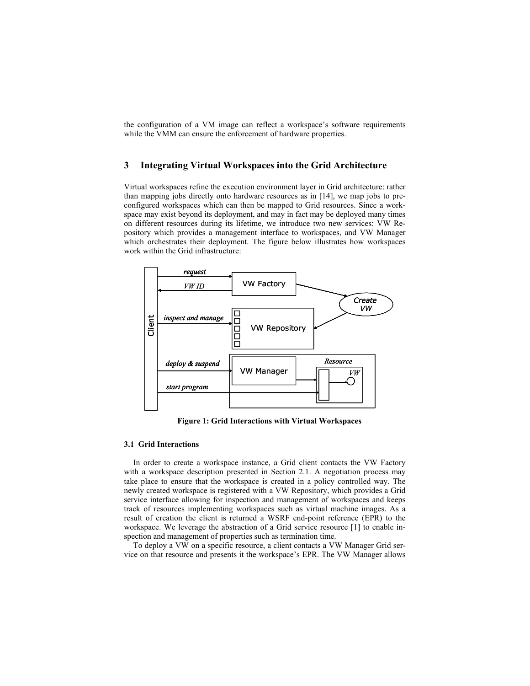the configuration of a VM image can reflect a workspace's software requirements while the VMM can ensure the enforcement of hardware properties.

# **3 Integrating Virtual Workspaces into the Grid Architecture**

Virtual workspaces refine the execution environment layer in Grid architecture: rather than mapping jobs directly onto hardware resources as in [14], we map jobs to preconfigured workspaces which can then be mapped to Grid resources. Since a workspace may exist beyond its deployment, and may in fact may be deployed many times on different resources during its lifetime, we introduce two new services: VW Repository which provides a management interface to workspaces, and VW Manager which orchestrates their deployment. The figure below illustrates how workspaces work within the Grid infrastructure:



**Figure 1: Grid Interactions with Virtual Workspaces** 

### **3.1 Grid Interactions**

In order to create a workspace instance, a Grid client contacts the VW Factory with a workspace description presented in Section 2.1. A negotiation process may take place to ensure that the workspace is created in a policy controlled way. The newly created workspace is registered with a VW Repository, which provides a Grid service interface allowing for inspection and management of workspaces and keeps track of resources implementing workspaces such as virtual machine images. As a result of creation the client is returned a WSRF end-point reference (EPR) to the workspace. We leverage the abstraction of a Grid service resource [1] to enable inspection and management of properties such as termination time.

To deploy a VW on a specific resource, a client contacts a VW Manager Grid service on that resource and presents it the workspace's EPR. The VW Manager allows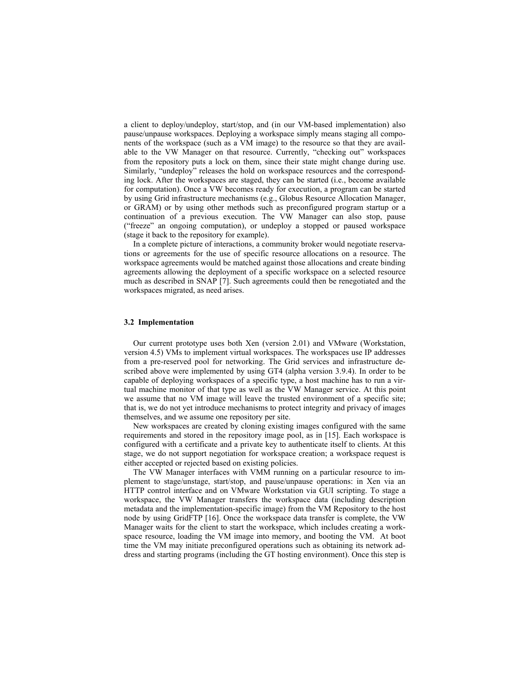a client to deploy/undeploy, start/stop, and (in our VM-based implementation) also pause/unpause workspaces. Deploying a workspace simply means staging all components of the workspace (such as a VM image) to the resource so that they are available to the VW Manager on that resource. Currently, "checking out" workspaces from the repository puts a lock on them, since their state might change during use. Similarly, "undeploy" releases the hold on workspace resources and the corresponding lock. After the workspaces are staged, they can be started (i.e., become available for computation). Once a VW becomes ready for execution, a program can be started by using Grid infrastructure mechanisms (e.g., Globus Resource Allocation Manager, or GRAM) or by using other methods such as preconfigured program startup or a continuation of a previous execution. The VW Manager can also stop, pause ("freeze" an ongoing computation), or undeploy a stopped or paused workspace (stage it back to the repository for example).

In a complete picture of interactions, a community broker would negotiate reservations or agreements for the use of specific resource allocations on a resource. The workspace agreements would be matched against those allocations and create binding agreements allowing the deployment of a specific workspace on a selected resource much as described in SNAP [7]. Such agreements could then be renegotiated and the workspaces migrated, as need arises.

#### **3.2 Implementation**

Our current prototype uses both Xen (version 2.01) and VMware (Workstation, version 4.5) VMs to implement virtual workspaces. The workspaces use IP addresses from a pre-reserved pool for networking. The Grid services and infrastructure described above were implemented by using GT4 (alpha version 3.9.4). In order to be capable of deploying workspaces of a specific type, a host machine has to run a virtual machine monitor of that type as well as the VW Manager service. At this point we assume that no VM image will leave the trusted environment of a specific site; that is, we do not yet introduce mechanisms to protect integrity and privacy of images themselves, and we assume one repository per site.

New workspaces are created by cloning existing images configured with the same requirements and stored in the repository image pool, as in [15]. Each workspace is configured with a certificate and a private key to authenticate itself to clients. At this stage, we do not support negotiation for workspace creation; a workspace request is either accepted or rejected based on existing policies.

The VW Manager interfaces with VMM running on a particular resource to implement to stage/unstage, start/stop, and pause/unpause operations: in Xen via an HTTP control interface and on VMware Workstation via GUI scripting. To stage a workspace, the VW Manager transfers the workspace data (including description metadata and the implementation-specific image) from the VM Repository to the host node by using GridFTP [16]. Once the workspace data transfer is complete, the VW Manager waits for the client to start the workspace, which includes creating a workspace resource, loading the VM image into memory, and booting the VM. At boot time the VM may initiate preconfigured operations such as obtaining its network address and starting programs (including the GT hosting environment). Once this step is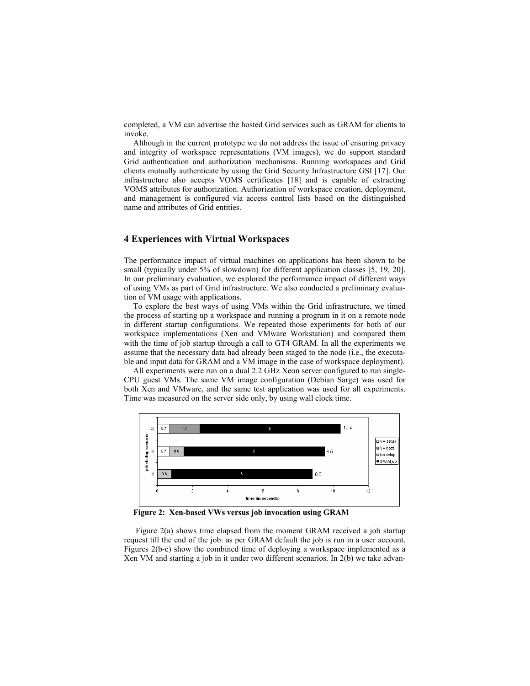completed, a VM can advertise the hosted Grid services such as GRAM for clients to invoke.

Although in the current prototype we do not address the issue of ensuring privacy and integrity of workspace representations (VM images), we do support standard Grid authentication and authorization mechanisms. Running workspaces and Grid clients mutually authenticate by using the Grid Security Infrastructure GSI [17]. Our infrastructure also accepts VOMS certificates [18] and is capable of extracting VOMS attributes for authorization. Authorization of workspace creation, deployment, and management is configured via access control lists based on the distinguished name and attributes of Grid entities.

## **4 Experiences with Virtual Workspaces**

The performance impact of virtual machines on applications has been shown to be small (typically under 5% of slowdown) for different application classes [5, 19, 20]. In our preliminary evaluation, we explored the performance impact of different ways of using VMs as part of Grid infrastructure. We also conducted a preliminary evaluation of VM usage with applications.

To explore the best ways of using VMs within the Grid infrastructure, we timed the process of starting up a workspace and running a program in it on a remote node in different startup configurations. We repeated those experiments for both of our workspace implementations (Xen and VMware Workstation) and compared them with the time of job startup through a call to GT4 GRAM. In all the experiments we assume that the necessary data had already been staged to the node (i.e., the executable and input data for GRAM and a VM image in the case of workspace deployment).

All experiments were run on a dual 2.2 GHz Xeon server configured to run single-CPU guest VMs. The same VM image configuration (Debian Sarge) was used for both Xen and VMware, and the same test application was used for all experiments. Time was measured on the server side only, by using wall clock time.



**Figure 2: Xen-based VWs versus job invocation using GRAM** 

 Figure 2(a) shows time elapsed from the moment GRAM received a job startup request till the end of the job: as per GRAM default the job is run in a user account. Figures 2(b-c) show the combined time of deploying a workspace implemented as a Xen VM and starting a job in it under two different scenarios. In 2(b) we take advan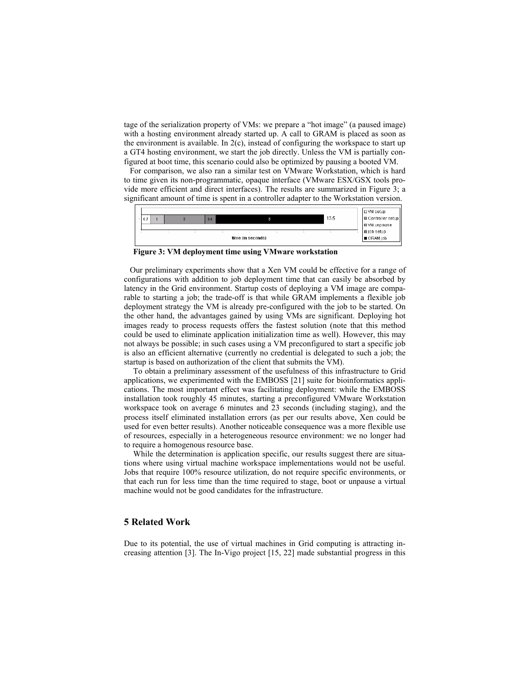tage of the serialization property of VMs: we prepare a "hot image" (a paused image) with a hosting environment already started up. A call to GRAM is placed as soon as the environment is available. In 2(c), instead of configuring the workspace to start up a GT4 hosting environment, we start the job directly. Unless the VM is partially configured at boot time, this scenario could also be optimized by pausing a booted VM.

For comparison, we also ran a similar test on VMware Workstation, which is hard to time given its non-programmatic, opaque interface (VMware ESX/GSX tools provide more efficient and direct interfaces). The results are summarized in Figure 3; a significant amount of time is spent in a controller adapter to the Workstation version.



**Figure 3: VM deployment time using VMware workstation** 

Our preliminary experiments show that a Xen VM could be effective for a range of configurations with addition to job deployment time that can easily be absorbed by latency in the Grid environment. Startup costs of deploying a VM image are comparable to starting a job; the trade-off is that while GRAM implements a flexible job deployment strategy the VM is already pre-configured with the job to be started. On the other hand, the advantages gained by using VMs are significant. Deploying hot images ready to process requests offers the fastest solution (note that this method could be used to eliminate application initialization time as well). However, this may not always be possible; in such cases using a VM preconfigured to start a specific job is also an efficient alternative (currently no credential is delegated to such a job; the startup is based on authorization of the client that submits the VM).

To obtain a preliminary assessment of the usefulness of this infrastructure to Grid applications, we experimented with the EMBOSS [21] suite for bioinformatics applications. The most important effect was facilitating deployment: while the EMBOSS installation took roughly 45 minutes, starting a preconfigured VMware Workstation workspace took on average 6 minutes and 23 seconds (including staging), and the process itself eliminated installation errors (as per our results above, Xen could be used for even better results). Another noticeable consequence was a more flexible use of resources, especially in a heterogeneous resource environment: we no longer had to require a homogenous resource base.

While the determination is application specific, our results suggest there are situations where using virtual machine workspace implementations would not be useful. Jobs that require 100% resource utilization, do not require specific environments, or that each run for less time than the time required to stage, boot or unpause a virtual machine would not be good candidates for the infrastructure.

### **5 Related Work**

Due to its potential, the use of virtual machines in Grid computing is attracting increasing attention [3]. The In-Vigo project [15, 22] made substantial progress in this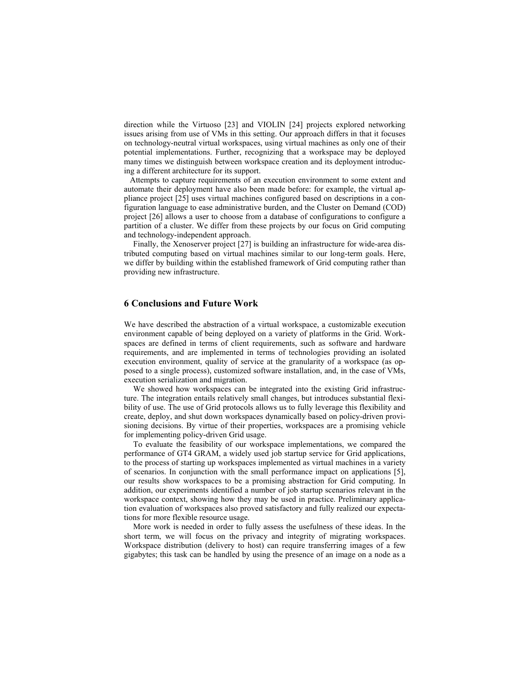direction while the Virtuoso [23] and VIOLIN [24] projects explored networking issues arising from use of VMs in this setting. Our approach differs in that it focuses on technology-neutral virtual workspaces, using virtual machines as only one of their potential implementations. Further, recognizing that a workspace may be deployed many times we distinguish between workspace creation and its deployment introducing a different architecture for its support.

Attempts to capture requirements of an execution environment to some extent and automate their deployment have also been made before: for example, the virtual appliance project [25] uses virtual machines configured based on descriptions in a configuration language to ease administrative burden, and the Cluster on Demand (COD) project [26] allows a user to choose from a database of configurations to configure a partition of a cluster. We differ from these projects by our focus on Grid computing and technology-independent approach.

Finally, the Xenoserver project [27] is building an infrastructure for wide-area distributed computing based on virtual machines similar to our long-term goals. Here, we differ by building within the established framework of Grid computing rather than providing new infrastructure.

# **6 Conclusions and Future Work**

We have described the abstraction of a virtual workspace, a customizable execution environment capable of being deployed on a variety of platforms in the Grid. Workspaces are defined in terms of client requirements, such as software and hardware requirements, and are implemented in terms of technologies providing an isolated execution environment, quality of service at the granularity of a workspace (as opposed to a single process), customized software installation, and, in the case of VMs, execution serialization and migration.

We showed how workspaces can be integrated into the existing Grid infrastructure. The integration entails relatively small changes, but introduces substantial flexibility of use. The use of Grid protocols allows us to fully leverage this flexibility and create, deploy, and shut down workspaces dynamically based on policy-driven provisioning decisions. By virtue of their properties, workspaces are a promising vehicle for implementing policy-driven Grid usage.

To evaluate the feasibility of our workspace implementations, we compared the performance of GT4 GRAM, a widely used job startup service for Grid applications, to the process of starting up workspaces implemented as virtual machines in a variety of scenarios. In conjunction with the small performance impact on applications [5], our results show workspaces to be a promising abstraction for Grid computing. In addition, our experiments identified a number of job startup scenarios relevant in the workspace context, showing how they may be used in practice. Preliminary application evaluation of workspaces also proved satisfactory and fully realized our expectations for more flexible resource usage.

More work is needed in order to fully assess the usefulness of these ideas. In the short term, we will focus on the privacy and integrity of migrating workspaces. Workspace distribution (delivery to host) can require transferring images of a few gigabytes; this task can be handled by using the presence of an image on a node as a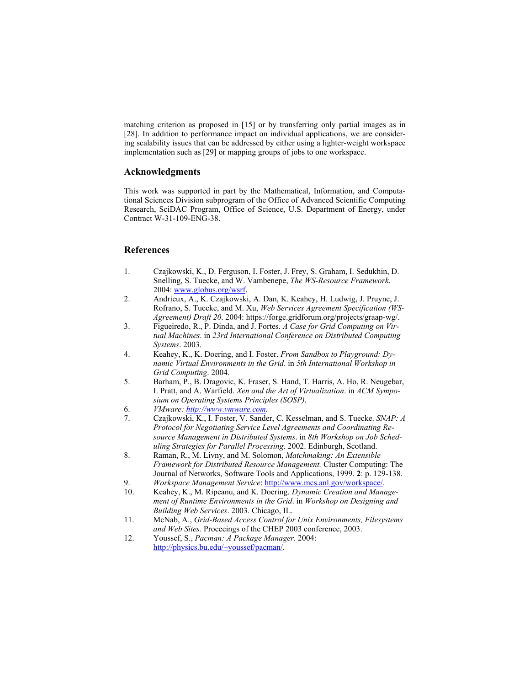matching criterion as proposed in [15] or by transferring only partial images as in [28]. In addition to performance impact on individual applications, we are considering scalability issues that can be addressed by either using a lighter-weight workspace implementation such as [29] or mapping groups of jobs to one workspace.

# **Acknowledgments**

This work was supported in part by the Mathematical, Information, and Computational Sciences Division subprogram of the Office of Advanced Scientific Computing Research, SciDAC Program, Office of Science, U.S. Department of Energy, under Contract W-31-109-ENG-38.

# **References**

- 1. Czajkowski, K., D. Ferguson, I. Foster, J. Frey, S. Graham, I. Sedukhin, D. Snelling, S. Tuecke, and W. Vambenepe, *The WS-Resource Framework*. 2004: www.globus.org/wsrf.
- 2. Andrieux, A., K. Czajkowski, A. Dan, K. Keahey, H. Ludwig, J. Pruyne, J. Rofrano, S. Tuecke, and M. Xu, *Web Services Agreement Specification (WS-Agreement) Draft 20*. 2004: https://forge.gridforum.org/projects/graap-wg/.
- 3. Figueiredo, R., P. Dinda, and J. Fortes. *A Case for Grid Computing on Virtual Machines*. in *23rd International Conference on Distributed Computing Systems*. 2003.
- 4. Keahey, K., K. Doering, and I. Foster. *From Sandbox to Playground: Dynamic Virtual Environments in the Grid*. in *5th International Workshop in Grid Computing*. 2004.
- 5. Barham, P., B. Dragovic, K. Fraser, S. Hand, T. Harris, A. Ho, R. Neugebar, I. Pratt, and A. Warfield. *Xen and the Art of Virtualization*. in *ACM Symposium on Operating Systems Principles (SOSP)*.
- 6. *VMware: http://www.vmware.com.*
- 7. Czajkowski, K., I. Foster, V. Sander, C. Kesselman, and S. Tuecke. *SNAP: A Protocol for Negotiating Service Level Agreements and Coordinating Resource Management in Distributed Systems*. in *8th Workshop on Job Scheduling Strategies for Parallel Processing*. 2002. Edinburgh, Scotland.
- 8. Raman, R., M. Livny, and M. Solomon, *Matchmaking: An Extensible Framework for Distributed Resource Management.* Cluster Computing: The Journal of Networks, Software Tools and Applications, 1999. **2**: p. 129-138.
- 9. *Workspace Management Service*: http://www.mcs.anl.gov/workspace/.
- 10. Keahey, K., M. Ripeanu, and K. Doering. *Dynamic Creation and Management of Runtime Environments in the Grid*. in *Workshop on Designing and Building Web Services*. 2003. Chicago, IL.
- 11. McNab, A., *Grid-Based Access Control for Unix Environments, Filesystems and Web Sites.* Proceeings of the CHEP 2003 conference, 2003.
- 12. Youssef, S., *Pacman: A Package Manager*. 2004: http://physics.bu.edu/~youssef/pacman/.